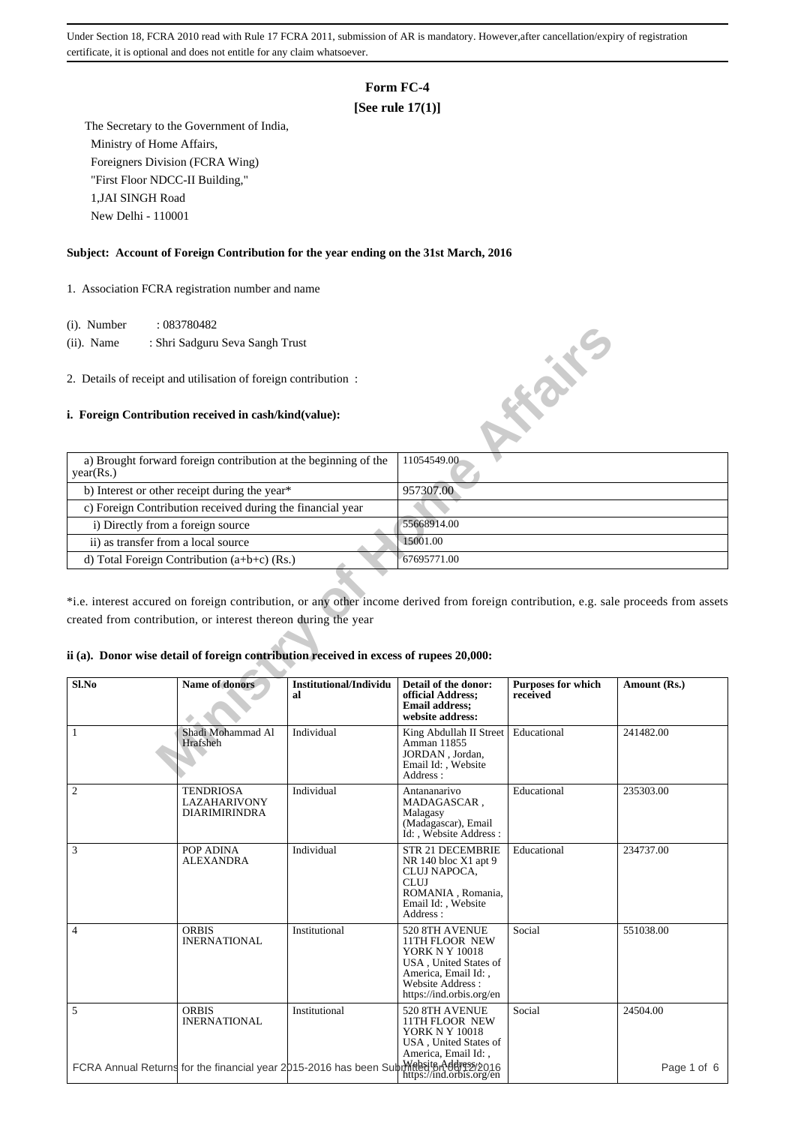# **Form FC-4**

## **[See rule 17(1)]**

 The Secretary to the Government of India, Ministry of Home Affairs, Foreigners Division (FCRA Wing) "First Floor NDCC-II Building," 1,JAI SINGH Road New Delhi - 110001

### **Subject: Account of Foreign Contribution for the year ending on the 31st March, 2016**

1. Association FCRA registration number and name

- (i). Number : 083780482
- (ii). Name : Shri Sadguru Seva Sangh Trust
- 2. Details of receipt and utilisation of foreign contribution :

#### **i. Foreign Contribution received in cash/kind(value):**

| $(1)$ . Trumber                     | .003100402                                                                                                                                                                                              |                              |                                                                                              |                                       |              |
|-------------------------------------|---------------------------------------------------------------------------------------------------------------------------------------------------------------------------------------------------------|------------------------------|----------------------------------------------------------------------------------------------|---------------------------------------|--------------|
| $(ii)$ . Name                       | : Shri Sadguru Seva Sangh Trust                                                                                                                                                                         |                              |                                                                                              |                                       |              |
|                                     | 2. Details of receipt and utilisation of foreign contribution:<br>i. Foreign Contribution received in cash/kind(value):                                                                                 |                              |                                                                                              | <b>SERVIS</b>                         |              |
|                                     |                                                                                                                                                                                                         |                              |                                                                                              |                                       |              |
| year(Rs.)                           | a) Brought forward foreign contribution at the beginning of the                                                                                                                                         |                              | 11054549.00                                                                                  |                                       |              |
|                                     | b) Interest or other receipt during the year*                                                                                                                                                           |                              | 957307.00                                                                                    |                                       |              |
|                                     | c) Foreign Contribution received during the financial year                                                                                                                                              |                              |                                                                                              |                                       |              |
| i) Directly from a foreign source   |                                                                                                                                                                                                         |                              | 55668914.00                                                                                  |                                       |              |
| ii) as transfer from a local source |                                                                                                                                                                                                         |                              | 15001.00                                                                                     |                                       |              |
|                                     | d) Total Foreign Contribution $(a+b+c)$ (Rs.)                                                                                                                                                           |                              | 67695771.00                                                                                  |                                       |              |
|                                     | *i.e. interest accured on foreign contribution, or any other income derived from foreign contribution, e.g. sale proceeds from assets<br>created from contribution, or interest thereon during the year |                              |                                                                                              |                                       |              |
|                                     | ii (a). Donor wise detail of foreign contribution received in excess of rupees 20,000:                                                                                                                  |                              |                                                                                              |                                       |              |
| Sl.No                               | <b>Name of donors</b>                                                                                                                                                                                   | Institutional/Individu<br>al | Detail of the donor:<br>official Address;<br><b>Email address:</b><br>website address:       | <b>Purposes for which</b><br>received | Amount (Rs.) |
| 1                                   | Shadi Mohammad Al<br>Hrafsheh                                                                                                                                                                           | Individual                   | King Abdullah II Street<br>Amman 11855<br>JORDAN, Jordan,<br>Email Id:, Website<br>Address : | Educational                           | 241482.00    |

#### **ii (a). Donor wise detail of foreign contribution received in excess of rupees 20,000:**

| Sl.No          | <b>Name of donors</b>                                           | Institutional/Individu<br>al                                                                               | Detail of the donor:<br>official Address;<br><b>Email address:</b><br>website address:                                                                    | <b>Purposes for which</b><br>received | Amount (Rs.)            |
|----------------|-----------------------------------------------------------------|------------------------------------------------------------------------------------------------------------|-----------------------------------------------------------------------------------------------------------------------------------------------------------|---------------------------------------|-------------------------|
| $\mathbf{1}$   | Shadi Mohammad Al<br>Hrafsheh                                   | Individual                                                                                                 | King Abdullah II Street<br>Amman 11855<br>JORDAN, Jordan,<br>Email Id:, Website<br>Address:                                                               | Educational                           | 241482.00               |
| $\overline{c}$ | <b>TENDRIOSA</b><br><b>LAZAHARIVONY</b><br><b>DIARIMIRINDRA</b> | Individual                                                                                                 | Antananarivo<br>MADAGASCAR,<br>Malagasy<br>(Madagascar), Email<br>Id: Website Address:                                                                    | Educational                           | 235303.00               |
| 3              | POP ADINA<br><b>ALEXANDRA</b>                                   | Individual                                                                                                 | <b>STR 21 DECEMBRIE</b><br>NR 140 bloc X1 apt 9<br>CLUJ NAPOCA,<br><b>CLUJ</b><br>ROMANIA, Romania,<br>Email Id:, Website<br>Address:                     | Educational                           | 234737.00               |
| $\overline{4}$ | <b>ORBIS</b><br><b>INERNATIONAL</b>                             | Institutional                                                                                              | 520 8TH AVENUE<br>11TH FLOOR NEW<br><b>YORK N Y 10018</b><br>USA, United States of<br>America, Email Id:,<br>Website Address:<br>https://ind.orbis.org/en | Social                                | 551038.00               |
| 5              | <b>ORBIS</b><br><b>INERNATIONAL</b>                             | Institutional<br>FCRA Annual Returns for the financial year 2015-2016 has been Submites://ind.orbis.org/en | 520 8TH AVENUE<br>11TH FLOOR NEW<br><b>YORK N Y 10018</b><br>USA, United States of<br>America, Email Id:,                                                 | Social                                | 24504.00<br>Page 1 of 6 |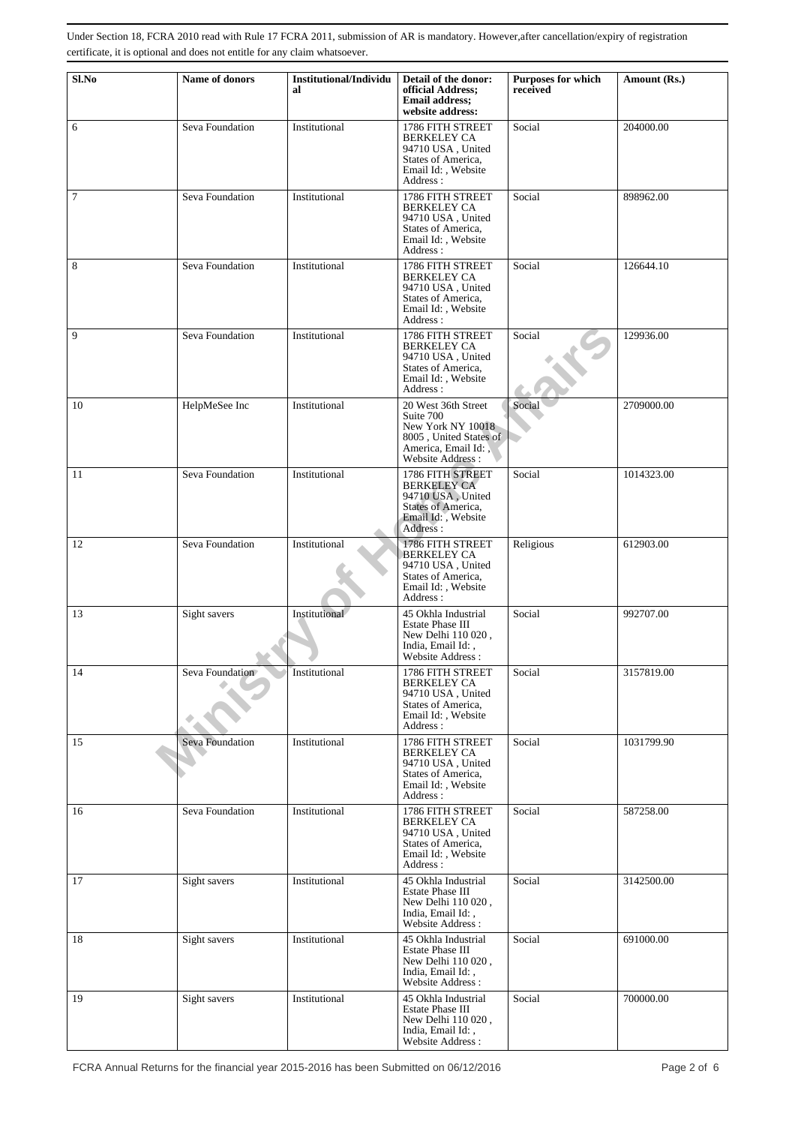| Sl.No  | Name of donors  | <b>Institutional/Individu</b><br>al | Detail of the donor:<br>official Address:<br><b>Email address;</b><br>website address:                                    | <b>Purposes for which</b><br>received | Amount (Rs.) |
|--------|-----------------|-------------------------------------|---------------------------------------------------------------------------------------------------------------------------|---------------------------------------|--------------|
| 6      | Seva Foundation | Institutional                       | 1786 FITH STREET<br><b>BERKELEY CA</b><br>94710 USA, United<br>States of America,<br>Email Id:, Website<br>Address:       | Social                                | 204000.00    |
| $\tau$ | Seva Foundation | Institutional                       | 1786 FITH STREET<br><b>BERKELEY CA</b><br>94710 USA, United<br>States of America,<br>Email Id:, Website<br>Address:       | Social                                | 898962.00    |
| 8      | Seva Foundation | Institutional                       | 1786 FITH STREET<br><b>BERKELEY CA</b><br>94710 USA, United<br>States of America,<br>Email Id:, Website<br>Address:       | Social                                | 126644.10    |
| 9      | Seva Foundation | Institutional                       | 1786 FITH STREET<br><b>BERKELEY CA</b><br>94710 USA, United<br>States of America.<br>Email Id:, Website<br>Address:       | Social                                | 129936.00    |
| 10     | HelpMeSee Inc   | Institutional                       | 20 West 36th Street<br>Suite 700<br>New York NY 10018<br>8005, United States of<br>America, Email Id:<br>Website Address: | Social                                | 2709000.00   |
| 11     | Seva Foundation | Institutional                       | 1786 FITH STREET<br><b>BERKELEY CA</b><br>94710 USA, United<br>States of America,<br>Email Id:, Website<br>Address:       | Social                                | 1014323.00   |
| 12     | Seva Foundation | Institutional                       | 1786 FITH STREET<br><b>BERKELEY CA</b><br>94710 USA, United<br>States of America,<br>Email Id:, Website<br>Address:       | Religious                             | 612903.00    |
| 13     | Sight savers    | Institutional                       | 45 Okhla Industrial<br><b>Estate Phase III</b><br>New Delhi 110 020,<br>India, Email Id:,<br>Website Address:             | Social                                | 992707.00    |
| 14     | Seva Foundation | Institutional                       | 1786 FITH STREET<br><b>BERKELEY CA</b><br>94710 USA, United<br>States of America,<br>Email Id:, Website<br>Address:       | Social                                | 3157819.00   |
| 15     | Seva Foundation | Institutional                       | 1786 FITH STREET<br><b>BERKELEY CA</b><br>94710 USA, United<br>States of America,<br>Email Id:, Website<br>Address:       | Social                                | 1031799.90   |
| 16     | Seva Foundation | Institutional                       | 1786 FITH STREET<br><b>BERKELEY CA</b><br>94710 USA, United<br>States of America,<br>Email Id:, Website<br>Address:       | Social                                | 587258.00    |
| 17     | Sight savers    | Institutional                       | 45 Okhla Industrial<br><b>Estate Phase III</b><br>New Delhi 110 020,<br>India, Email Id:,<br>Website Address:             | Social                                | 3142500.00   |
| 18     | Sight savers    | Institutional                       | 45 Okhla Industrial<br>Estate Phase III<br>New Delhi 110 020,<br>India, Email Id:,<br>Website Address:                    | Social                                | 691000.00    |
| 19     | Sight savers    | Institutional                       | 45 Okhla Industrial<br><b>Estate Phase III</b><br>New Delhi 110 020,<br>India, Email Id:,<br>Website Address:             | Social                                | 700000.00    |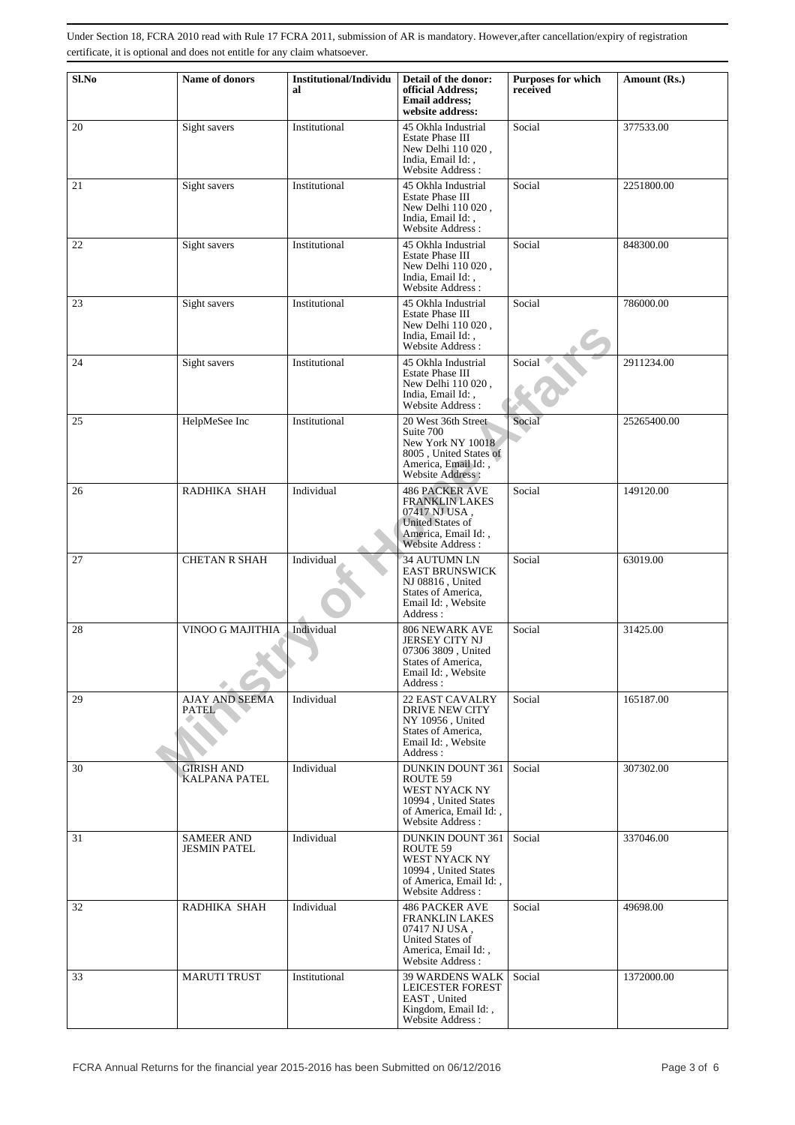| Sl.No | Name of donors                           | <b>Institutional/Individu</b><br>al | Detail of the donor:<br>official Address;<br><b>Email address:</b><br>website address:                                                | Purposes for which<br>received | Amount (Rs.) |
|-------|------------------------------------------|-------------------------------------|---------------------------------------------------------------------------------------------------------------------------------------|--------------------------------|--------------|
| 20    | Sight savers                             | Institutional                       | 45 Okhla Industrial<br>Estate Phase III<br>New Delhi 110 020.<br>India, Email Id:,<br>Website Address:                                | Social                         | 377533.00    |
| 21    | Sight savers                             | Institutional                       | 45 Okhla Industrial<br>Estate Phase III<br>New Delhi 110 020,<br>India, Email Id: .<br>Website Address:                               | Social                         | 2251800.00   |
| 22    | Sight savers                             | Institutional                       | 45 Okhla Industrial<br><b>Estate Phase III</b><br>New Delhi 110 020,<br>India, Email Id:,<br>Website Address:                         | Social                         | 848300.00    |
| 23    | Sight savers                             | Institutional                       | 45 Okhla Industrial<br>Estate Phase III<br>New Delhi 110 020,<br>India, Email Id:,<br>Website Address:                                | Social                         | 786000.00    |
| 24    | Sight savers                             | Institutional                       | 45 Okhla Industrial<br>Estate Phase III<br>New Delhi 110 020,<br>India, Email Id:,<br>Website Address:                                | Social                         | 2911234.00   |
| 25    | HelpMeSee Inc                            | Institutional                       | 20 West 36th Street<br>Suite 700<br>New York NY 10018<br>8005, United States of<br>America, Email Id:,<br>Website Address:            | Social                         | 25265400.00  |
| 26    | RADHIKA SHAH                             | Individual                          | <b>486 PACKER AVE</b><br><b>FRANKLIN LAKES</b><br>07417 NJ USA,<br><b>United States of</b><br>America, Email Id:,<br>Website Address: | Social                         | 149120.00    |
| 27    | <b>CHETAN R SHAH</b>                     | Individual                          | 34 AUTUMN LN<br><b>EAST BRUNSWICK</b><br>NJ 08816, United<br>States of America,<br>Email Id:, Website<br>Address:                     | Social                         | 63019.00     |
| 28    | VINOO G MAJITHIA                         | Individual                          | <b>806 NEWARK AVE</b><br>JERSEY CITY NJ<br>07306 3809, United<br>States of America,<br>Email Id: , Website<br>Address:                | Social                         | 31425.00     |
| 29    | AJAY AND SEEMA<br><b>PATEL</b>           | Individual                          | <b>22 EAST CAVALRY</b><br><b>DRIVE NEW CITY</b><br>NY 10956, United<br>States of America,<br>Email Id:, Website<br>Address:           | Social                         | 165187.00    |
| 30    | <b>GIRISH AND</b><br>KALPANA PATEL       | Individual                          | <b>DUNKIN DOUNT 361</b><br>ROUTE 59<br>WEST NYACK NY<br>10994, United States<br>of America, Email Id:,<br>Website Address:            | Social                         | 307302.00    |
| 31    | <b>SAMEER AND</b><br><b>JESMIN PATEL</b> | Individual                          | <b>DUNKIN DOUNT 361</b><br>ROUTE 59<br>WEST NYACK NY<br>10994, United States<br>of America, Email Id:,<br>Website Address:            | Social                         | 337046.00    |
| 32    | RADHIKA SHAH                             | Individual                          | <b>486 PACKER AVE</b><br><b>FRANKLIN LAKES</b><br>07417 NJ USA,<br>United States of<br>America, Email Id:,<br>Website Address:        | Social                         | 49698.00     |
| 33    | <b>MARUTI TRUST</b>                      | Institutional                       | <b>39 WARDENS WALK</b><br>LEICESTER FOREST<br>EAST, United<br>Kingdom, Email Id:,<br>Website Address:                                 | Social                         | 1372000.00   |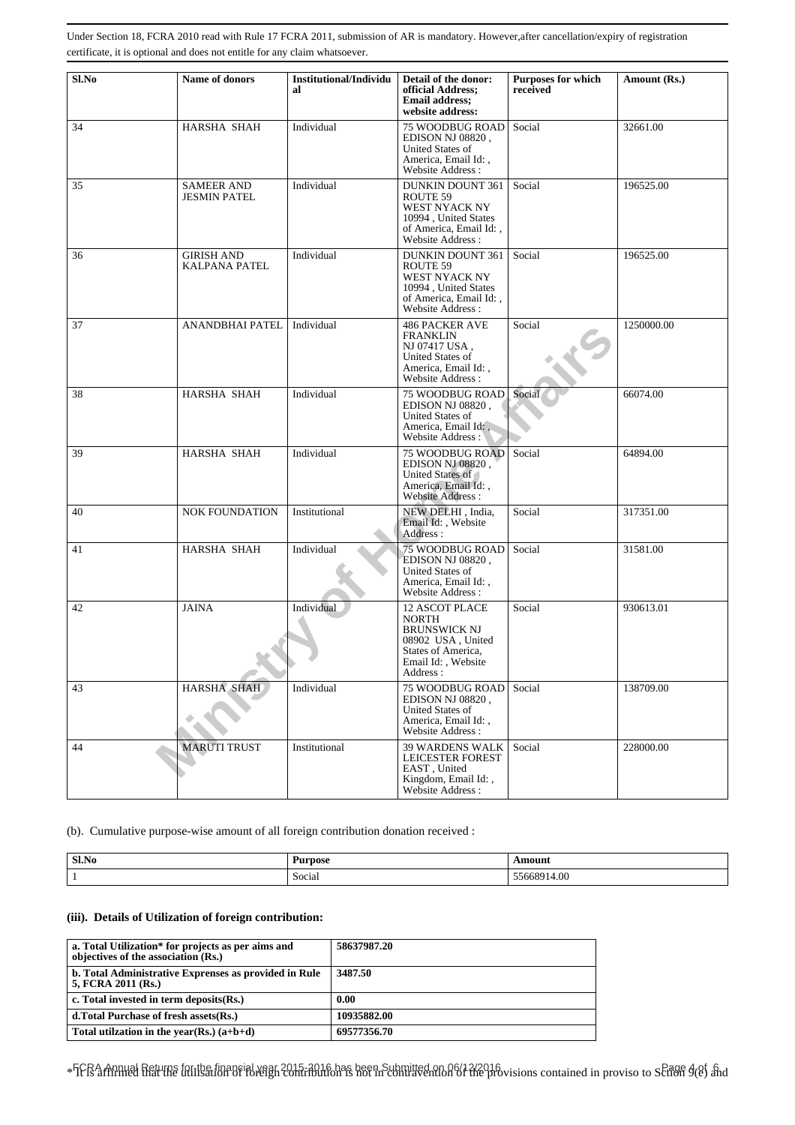| Sl.No | Name of donors                            | <b>Institutional/Individu</b><br>al | Detail of the donor:<br>official Address;<br><b>Email address:</b><br>website address:                                                    | Purposes for which<br>received | Amount (Rs.) |
|-------|-------------------------------------------|-------------------------------------|-------------------------------------------------------------------------------------------------------------------------------------------|--------------------------------|--------------|
| 34    | HARSHA SHAH                               | Individual                          | <b>75 WOODBUG ROAD</b><br>EDISON NJ 08820,<br>United States of<br>America, Email Id:,<br>Website Address:                                 | Social                         | 32661.00     |
| 35    | <b>SAMEER AND</b><br><b>JESMIN PATEL</b>  | Individual                          | <b>DUNKIN DOUNT 361</b><br>ROUTE <sub>59</sub><br>WEST NYACK NY<br>10994, United States<br>of America. Email Id: .<br>Website Address:    | Social                         | 196525.00    |
| 36    | <b>GIRISH AND</b><br><b>KALPANA PATEL</b> | Individual                          | <b>DUNKIN DOUNT 361</b><br>ROUTE 59<br>WEST NYACK NY<br>10994, United States<br>of America, Email Id:,<br>Website Address:                | Social                         | 196525.00    |
| 37    | ANANDBHAI PATEL                           | Individual                          | <b>486 PACKER AVE</b><br><b>FRANKLIN</b><br>NJ 07417 USA,<br>United States of<br>America, Email Id:,<br>Website Address:                  | Social                         | 1250000.00   |
| 38    | HARSHA SHAH                               | Individual                          | <b>75 WOODBUG ROAD</b><br>EDISON NJ 08820.<br>United States of<br>America, Email Id: .<br>Website Address:                                | Social                         | 66074.00     |
| 39    | <b>HARSHA SHAH</b>                        | Individual                          | <b>75 WOODBUG ROAD</b><br>EDISON NJ 08820,<br>United States of<br>America, Email Id:,<br><b>Website Address:</b>                          | Social                         | 64894.00     |
| 40    | <b>NOK FOUNDATION</b>                     | Institutional                       | NEW DELHI, India,<br>Email Id: , Website<br>Address:                                                                                      | Social                         | 317351.00    |
| 41    | <b>HARSHA SHAH</b>                        | Individual                          | <b>75 WOODBUG ROAD</b><br>EDISON NJ 08820,<br>United States of<br>America, Email Id:,<br>Website Address:                                 | Social                         | 31581.00     |
| 42    | <b>JAINA</b>                              | Individual                          | <b>12 ASCOT PLACE</b><br><b>NORTH</b><br><b>BRUNSWICK NJ</b><br>08902 USA, United<br>States of America.<br>Email Id:, Website<br>Address: | Social                         | 930613.01    |
| 43    | HARSHA SHAH                               | Individual                          | 75 WOODBUG ROAD<br>EDISON NJ 08820,<br>United States of<br>America, Email Id:,<br>Website Address:                                        | Social                         | 138709.00    |
| 44    | <b>MARUTI TRUST</b>                       | Institutional                       | <b>39 WARDENS WALK</b><br><b>LEICESTER FOREST</b><br>EAST, United<br>Kingdom, Email Id:,<br>Website Address:                              | Social                         | 228000.00    |

(b). Cumulative purpose-wise amount of all foreign contribution donation received :

| Sl.No | <b>Purpose</b>                | moun.                             |
|-------|-------------------------------|-----------------------------------|
|       | $\sim$<br>$\bullet$<br>Social | $\sim$<br>4.OU<br>בכססכר -<br>. . |

### **(iii). Details of Utilization of foreign contribution:**

| a. Total Utilization* for projects as per aims and<br>objectives of the association (Rs.) | 58637987.20 |
|-------------------------------------------------------------------------------------------|-------------|
| b. Total Administrative Exprenses as provided in Rule<br>5, FCRA 2011 (Rs.)               | 3487.50     |
| c. Total invested in term deposits (Rs.)                                                  | 0.00        |
| d. Total Purchase of fresh assets (Rs.)                                                   | 10935882.00 |
| Total utilization in the year(Rs.) $(a+b+d)$                                              | 69577356.70 |

 $*$  FCRA Annual Returns for the financial year 2015-2016 has been Submitted on 06/12/2016<br>FICR affirmed that the utilisation of foreign contribution is not in contravention of the provisions contained in proviso to Scilon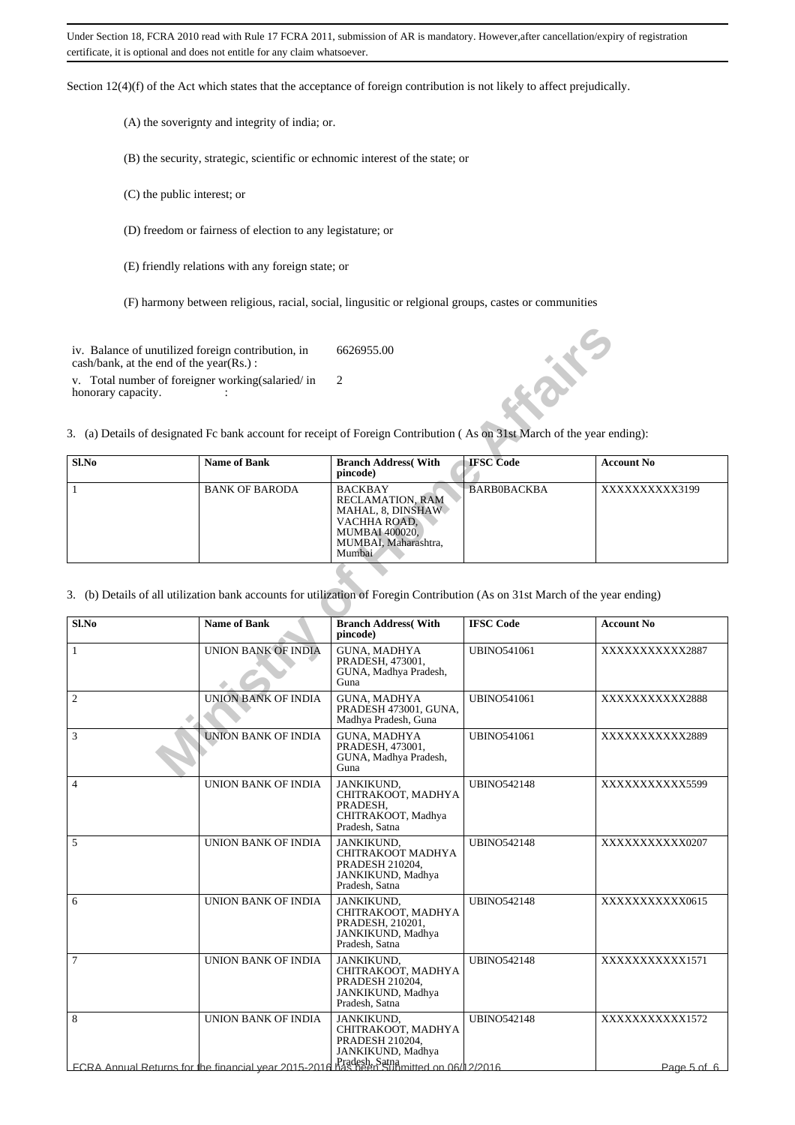Section 12(4)(f) of the Act which states that the acceptance of foreign contribution is not likely to affect prejudically.

(A) the soverignty and integrity of india; or.

(B) the security, strategic, scientific or echnomic interest of the state; or

(C) the public interest; or

(D) freedom or fairness of election to any legistature; or

(E) friendly relations with any foreign state; or

(F) harmony between religious, racial, social, lingusitic or relgional groups, castes or communities

| Sl.No | <b>Name of Bank</b>   | <b>Branch Address</b> (With<br>pincode)                                                                                            | <b>IFSC</b> Code | <b>Account No</b> |
|-------|-----------------------|------------------------------------------------------------------------------------------------------------------------------------|------------------|-------------------|
|       | <b>BANK OF BARODA</b> | <b>BACKBAY</b><br>RECLAMATION, RAM<br>MAHAL, 8, DINSHAW<br>VACHHA ROAD.<br><b>MUMBAI 400020,</b><br>MUMBAI, Maharashtra,<br>Mumbai | BARBOBACKBA      | XXXXXXXXXX3199    |

| iv. Balance of unutilized foreign contribution, in<br>cash/bank, at the end of the year(Rs.): |                                                      | 6626955.00                                                                                                                         |                    |                   |  |  |
|-----------------------------------------------------------------------------------------------|------------------------------------------------------|------------------------------------------------------------------------------------------------------------------------------------|--------------------|-------------------|--|--|
| v. Total number of foreigner working(salaried/in<br>honorary capacity.                        |                                                      | HONE<br>2                                                                                                                          |                    |                   |  |  |
|                                                                                               |                                                      | 3. (a) Details of designated Fc bank account for receipt of Foreign Contribution (As on 31st March of the year ending):            |                    |                   |  |  |
| Sl.No                                                                                         | <b>Name of Bank</b>                                  | <b>Branch Address</b> (With<br>pincode)                                                                                            | <b>IFSC</b> Code   | <b>Account No</b> |  |  |
| $\mathbf{1}$                                                                                  | <b>BANK OF BARODA</b>                                | <b>BACKBAY</b><br>RECLAMATION, RAM<br>MAHAL, 8, DINSHAW<br>VACHHA ROAD,<br><b>MUMBAI 400020,</b><br>MUMBAI, Maharashtra,<br>Mumbai | <b>BARBOBACKBA</b> | XXXXXXXXXX3199    |  |  |
|                                                                                               |                                                      | 3. (b) Details of all utilization bank accounts for utilization of Foregin Contribution (As on 31st March of the year ending)      |                    |                   |  |  |
| Sl.No                                                                                         | <b>Name of Bank</b>                                  | <b>Branch Address</b> (With<br>pincode)                                                                                            | <b>IFSC Code</b>   | <b>Account No</b> |  |  |
| $\mathbf{1}$                                                                                  | <b>UNION BANK OF INDIA</b>                           | <b>GUNA, MADHYA</b><br>PRADESH, 473001,<br>GUNA, Madhya Pradesh,<br>Guna                                                           | <b>UBINO541061</b> | XXXXXXXXXXX2887   |  |  |
| $\overline{2}$                                                                                | <b>UNION BANK OF INDIA</b>                           | GUNA, MADHYA<br>PRADESH 473001. GUNA.<br>Madhya Pradesh, Guna                                                                      | <b>UBINO541061</b> | XXXXXXXXXXX2888   |  |  |
| 3                                                                                             | <b>UNIÓN BANK OF INDIA</b>                           | GUNA, MADHYA<br>PRADESH, 473001,<br>GUNA, Madhya Pradesh,<br>Guna                                                                  | <b>UBINO541061</b> | XXXXXXXXXXX2889   |  |  |
| $\overline{4}$                                                                                | UNION BANK OF INDIA                                  | <b>JANKIKUND,</b><br>CHITRAKOOT, MADHYA<br>PRADESH,<br>CHITRAKOOT, Madhya<br>Pradesh, Satna                                        | <b>UBINO542148</b> | XXXXXXXXXXX5599   |  |  |
| 5                                                                                             | <b>UNION BANK OF INDIA</b>                           | <b>JANKIKUND.</b><br>CHITRAKOOT MADHYA<br>PRADESH 210204,<br>JANKIKUND, Madhya<br>Pradesh, Satna                                   | <b>UBINO542148</b> | XXXXXXXXXXX0207   |  |  |
| 6                                                                                             | UNION BANK OF INDIA                                  | JANKIKUND,<br>CHITRAKOOT, MADHYA<br>PRADESH, 210201.<br>JANKIKUND, Madhya<br>Pradesh, Satna                                        | <b>UBINO542148</b> | XXXXXXXXXXX0615   |  |  |
| 7                                                                                             | UNION BANK OF INDIA                                  | JANKIKUND,<br>CHITRAKOOT, MADHYA<br>PRADESH 210204.<br>JANKIKUND, Madhya<br>Pradesh, Satna                                         | <b>UBINO542148</b> | XXXXXXXXXXX1571   |  |  |
| 8                                                                                             | UNION BANK OF INDIA                                  | <b>JANKIKUND,</b><br>CHITRAKOOT, MADHYA<br>PRADESH 210204,<br>JANKIKUND, Madhya                                                    | <b>UBINO542148</b> | XXXXXXXXXX1572    |  |  |
|                                                                                               | FCRA Annual Returns for the financial year 2015-2016 | Pradesh, Satna<br>has heen Submitted on 06/12/2016                                                                                 |                    | Page 5 of 6       |  |  |